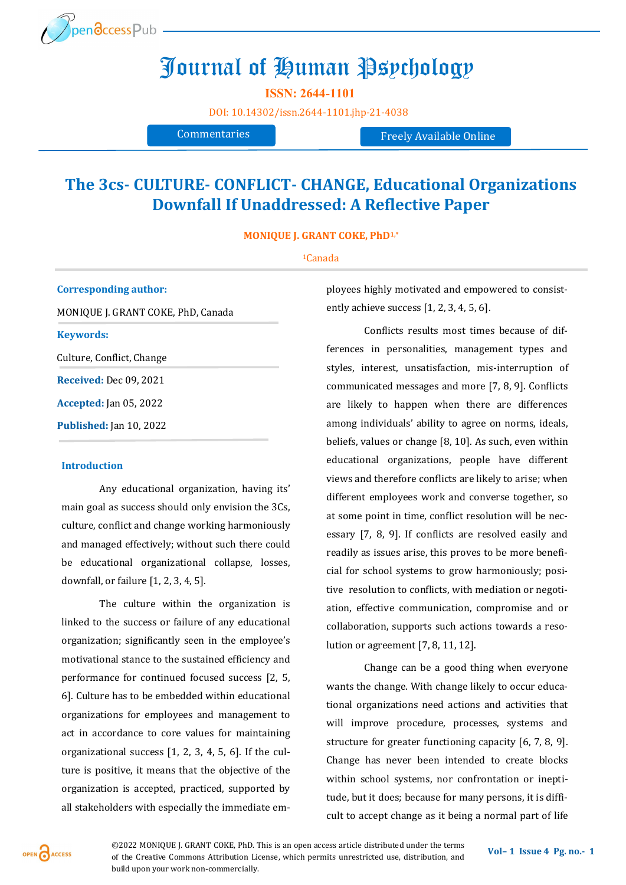

# Journal of Human Psychology

**ISSN: 2644-1101** 

[DOI:](https://doi.org/10.14302/issn.2639-3166.jar-21-3872) [10.14302/issn.2644](https://doi.org/10.14302/issn.2644-1101.jhp-21-4038)-1101.jhp-21-4038

Commentaries Freely Available Online

## **The 3cs- CULTURE- CONFLICT- CHANGE, Educational Organizations Downfall If Unaddressed: A Reflective Paper**

**MONIQUE J. GRANT COKE, PhD1,\***

#### <sup>1</sup>Canada

**Corresponding author:**  MONIQUE J. GRANT COKE, PhD, Canada **Keywords:**  Culture, Conflict, Change **Received:** Dec 09, 2021 **Accepted:** Jan 05, 2022 **Published:** Jan 10, 2022

### **Introduction**

Any educational organization, having its' main goal as success should only envision the 3Cs, culture, conflict and change working harmoniously and managed effectively; without such there could be educational organizational collapse, losses, downfall, or failure [1, 2, 3, 4, 5].

The culture within the organization is linked to the success or failure of any educational organization; significantly seen in the employee's motivational stance to the sustained efficiency and performance for continued focused success [2, 5, 6]. Culture has to be embedded within educational organizations for employees and management to act in accordance to core values for maintaining organizational success [1, 2, 3, 4, 5, 6]. If the culture is positive, it means that the objective of the organization is accepted, practiced, supported by all stakeholders with especially the immediate employees highly motivated and empowered to consistently achieve success [1, 2, 3, 4, 5, 6].

Conflicts results most times because of differences in personalities, management types and styles, interest, unsatisfaction, mis-interruption of communicated messages and more [7, 8, 9]. Conflicts are likely to happen when there are differences among individuals' ability to agree on norms, ideals, beliefs, values or change [8, 10]. As such, even within educational organizations, people have different views and therefore conflicts are likely to arise; when different employees work and converse together, so at some point in time, conflict resolution will be necessary [7, 8, 9]. If conflicts are resolved easily and readily as issues arise, this proves to be more beneficial for school systems to grow harmoniously; positive resolution to conflicts, with mediation or negotiation, effective communication, compromise and or collaboration, supports such actions towards a resolution or agreement [7, 8, 11, 12].

Change can be a good thing when everyone wants the change. With change likely to occur educational organizations need actions and activities that will improve procedure, processes, systems and structure for greater functioning capacity [6, 7, 8, 9]. Change has never been intended to create blocks within school systems, nor confrontation or ineptitude, but it does; because for many persons, it is difficult to accept change as it being a normal part of life

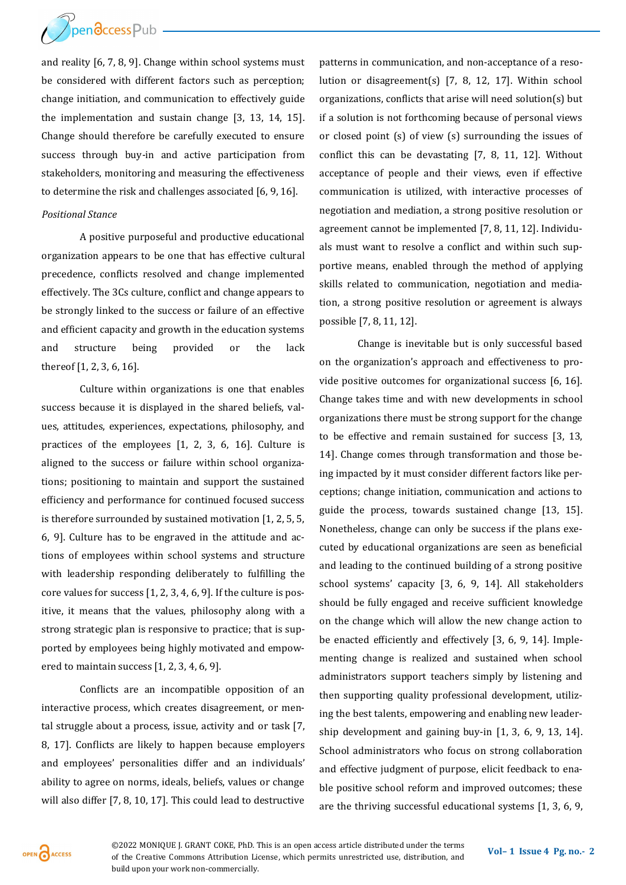

and reality [6, 7, 8, 9]. Change within school systems must be considered with different factors such as perception; change initiation, and communication to effectively guide the implementation and sustain change [3, 13, 14, 15]. Change should therefore be carefully executed to ensure success through buy-in and active participation from stakeholders, monitoring and measuring the effectiveness to determine the risk and challenges associated [6, 9, 16].

## *Positional Stance*

A positive purposeful and productive educational organization appears to be one that has effective cultural precedence, conflicts resolved and change implemented effectively. The 3Cs culture, conflict and change appears to be strongly linked to the success or failure of an effective and efficient capacity and growth in the education systems and structure being provided or the lack thereof [1, 2, 3, 6, 16].

Culture within organizations is one that enables success because it is displayed in the shared beliefs, values, attitudes, experiences, expectations, philosophy, and practices of the employees [1, 2, 3, 6, 16]. Culture is aligned to the success or failure within school organizations; positioning to maintain and support the sustained efficiency and performance for continued focused success is therefore surrounded by sustained motivation [1, 2, 5, 5, 6, 9]. Culture has to be engraved in the attitude and actions of employees within school systems and structure with leadership responding deliberately to fulfilling the core values for success [1, 2, 3, 4, 6, 9]. If the culture is positive, it means that the values, philosophy along with a strong strategic plan is responsive to practice; that is supported by employees being highly motivated and empowered to maintain success [1, 2, 3, 4, 6, 9].

Conflicts are an incompatible opposition of an interactive process, which creates disagreement, or mental struggle about a process, issue, activity and or task [7, 8, 17]. Conflicts are likely to happen because employers and employees' personalities differ and an individuals' ability to agree on norms, ideals, beliefs, values or change will also differ [7, 8, 10, 17]. This could lead to destructive patterns in communication, and non-acceptance of a resolution or disagreement(s) [7, 8, 12, 17]. Within school organizations, conflicts that arise will need solution(s) but if a solution is not forthcoming because of personal views or closed point (s) of view (s) surrounding the issues of conflict this can be devastating [7, 8, 11, 12]. Without acceptance of people and their views, even if effective communication is utilized, with interactive processes of negotiation and mediation, a strong positive resolution or agreement cannot be implemented [7, 8, 11, 12]. Individuals must want to resolve a conflict and within such supportive means, enabled through the method of applying skills related to communication, negotiation and mediation, a strong positive resolution or agreement is always possible [7, 8, 11, 12].

Change is inevitable but is only successful based on the organization's approach and effectiveness to provide positive outcomes for organizational success [6, 16]. Change takes time and with new developments in school organizations there must be strong support for the change to be effective and remain sustained for success [3, 13, 14]. Change comes through transformation and those being impacted by it must consider different factors like perceptions; change initiation, communication and actions to guide the process, towards sustained change [13, 15]. Nonetheless, change can only be success if the plans executed by educational organizations are seen as beneficial and leading to the continued building of a strong positive school systems' capacity [3, 6, 9, 14]. All stakeholders should be fully engaged and receive sufficient knowledge on the change which will allow the new change action to be enacted efficiently and effectively [3, 6, 9, 14]. Implementing change is realized and sustained when school administrators support teachers simply by listening and then supporting quality professional development, utilizing the best talents, empowering and enabling new leadership development and gaining buy-in [1, 3, 6, 9, 13, 14]. School administrators who focus on strong collaboration and effective judgment of purpose, elicit feedback to enable positive school reform and improved outcomes; these are the thriving successful educational systems [1, 3, 6, 9,

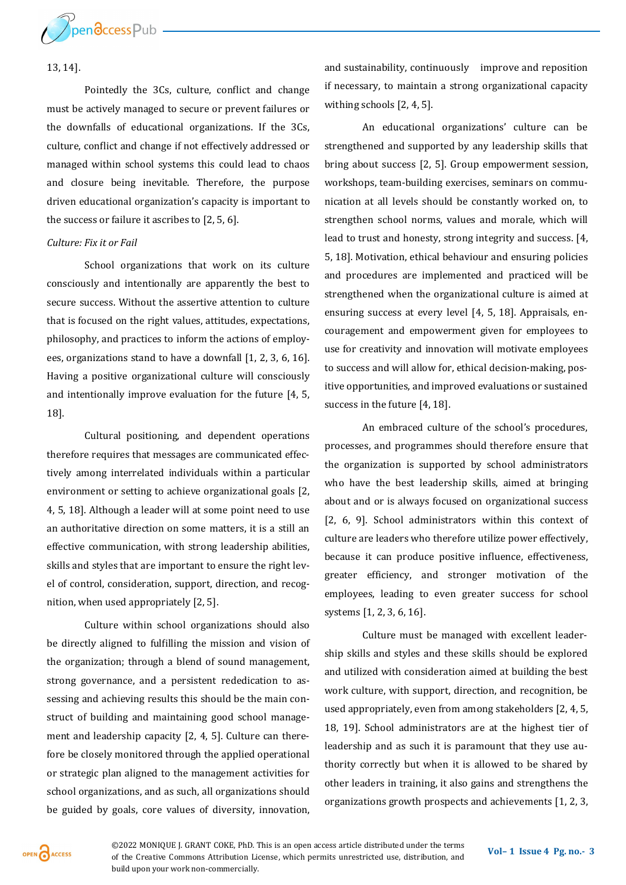

## 13, 14].

Pointedly the 3Cs, culture, conflict and change must be actively managed to secure or prevent failures or the downfalls of educational organizations. If the 3Cs, culture, conflict and change if not effectively addressed or managed within school systems this could lead to chaos and closure being inevitable. Therefore, the purpose driven educational organization's capacity is important to the success or failure it ascribes to [2, 5, 6].

## *Culture: Fix it or Fail*

School organizations that work on its culture consciously and intentionally are apparently the best to secure success. Without the assertive attention to culture that is focused on the right values, attitudes, expectations, philosophy, and practices to inform the actions of employees, organizations stand to have a downfall [1, 2, 3, 6, 16]. Having a positive organizational culture will consciously and intentionally improve evaluation for the future [4, 5, 18].

Cultural positioning, and dependent operations therefore requires that messages are communicated effectively among interrelated individuals within a particular environment or setting to achieve organizational goals [2, 4, 5, 18]. Although a leader will at some point need to use an authoritative direction on some matters, it is a still an effective communication, with strong leadership abilities, skills and styles that are important to ensure the right level of control, consideration, support, direction, and recognition, when used appropriately [2, 5].

Culture within school organizations should also be directly aligned to fulfilling the mission and vision of the organization; through a blend of sound management, strong governance, and a persistent rededication to assessing and achieving results this should be the main construct of building and maintaining good school management and leadership capacity [2, 4, 5]. Culture can therefore be closely monitored through the applied operational or strategic plan aligned to the management activities for school organizations, and as such, all organizations should be guided by goals, core values of diversity, innovation,

and sustainability, continuously improve and reposition if necessary, to maintain a strong organizational capacity withing schools [2, 4, 5].

An educational organizations' culture can be strengthened and supported by any leadership skills that bring about success [2, 5]. Group empowerment session, workshops, team-building exercises, seminars on communication at all levels should be constantly worked on, to strengthen school norms, values and morale, which will lead to trust and honesty, strong integrity and success. [4, 5, 18]. Motivation, ethical behaviour and ensuring policies and procedures are implemented and practiced will be strengthened when the organizational culture is aimed at ensuring success at every level [4, 5, 18]. Appraisals, encouragement and empowerment given for employees to use for creativity and innovation will motivate employees to success and will allow for, ethical decision-making, positive opportunities, and improved evaluations or sustained success in the future [4, 18].

An embraced culture of the school's procedures, processes, and programmes should therefore ensure that the organization is supported by school administrators who have the best leadership skills, aimed at bringing about and or is always focused on organizational success [2, 6, 9]. School administrators within this context of culture are leaders who therefore utilize power effectively, because it can produce positive influence, effectiveness, greater efficiency, and stronger motivation of the employees, leading to even greater success for school systems [1, 2, 3, 6, 16].

Culture must be managed with excellent leadership skills and styles and these skills should be explored and utilized with consideration aimed at building the best work culture, with support, direction, and recognition, be used appropriately, even from among stakeholders [2, 4, 5, 18, 19]. School administrators are at the highest tier of leadership and as such it is paramount that they use authority correctly but when it is allowed to be shared by other leaders in training, it also gains and strengthens the organizations growth prospects and achievements [1, 2, 3,

OPEN CACCESS

©2022 MONIQUE J. GRANT COKE, PhD. This is an open access article distributed under the terms of the Creative Commons Attribution License, which permits unrestricted use, distribution, and build upon your work non-commercially.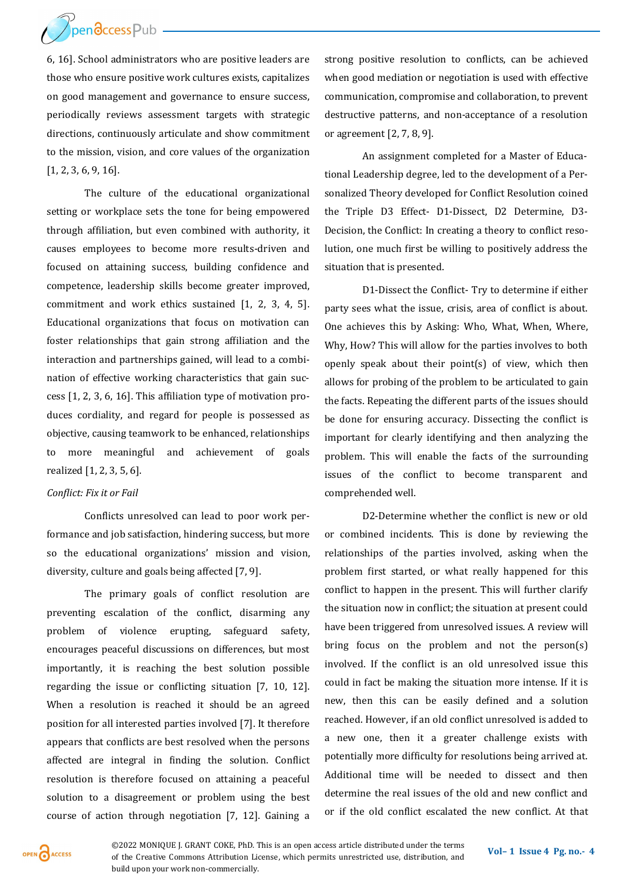

6, 16]. School administrators who are positive leaders are those who ensure positive work cultures exists, capitalizes on good management and governance to ensure success, periodically reviews assessment targets with strategic directions, continuously articulate and show commitment to the mission, vision, and core values of the organization [1, 2, 3, 6, 9, 16].

The culture of the educational organizational setting or workplace sets the tone for being empowered through affiliation, but even combined with authority, it causes employees to become more results-driven and focused on attaining success, building confidence and competence, leadership skills become greater improved, commitment and work ethics sustained [1, 2, 3, 4, 5]. Educational organizations that focus on motivation can foster relationships that gain strong affiliation and the interaction and partnerships gained, will lead to a combination of effective working characteristics that gain success [1, 2, 3, 6, 16]. This affiliation type of motivation produces cordiality, and regard for people is possessed as objective, causing teamwork to be enhanced, relationships to more meaningful and achievement of goals realized [1, 2, 3, 5, 6].

## *Conflict: Fix it or Fail*

Conflicts unresolved can lead to poor work performance and job satisfaction, hindering success, but more so the educational organizations' mission and vision, diversity, culture and goals being affected [7, 9].

The primary goals of conflict resolution are preventing escalation of the conflict, disarming any problem of violence erupting, safeguard safety, encourages peaceful discussions on differences, but most importantly, it is reaching the best solution possible regarding the issue or conflicting situation [7, 10, 12]. When a resolution is reached it should be an agreed position for all interested parties involved [7]. It therefore appears that conflicts are best resolved when the persons affected are integral in finding the solution. Conflict resolution is therefore focused on attaining a peaceful solution to a disagreement or problem using the best course of action through negotiation [7, 12]. Gaining a

strong positive resolution to conflicts, can be achieved when good mediation or negotiation is used with effective communication, compromise and collaboration, to prevent destructive patterns, and non-acceptance of a resolution or agreement [2, 7, 8, 9].

An assignment completed for a Master of Educational Leadership degree, led to the development of a Personalized Theory developed for Conflict Resolution coined the Triple D3 Effect- D1-Dissect, D2 Determine, D3- Decision, the Conflict: In creating a theory to conflict resolution, one much first be willing to positively address the situation that is presented.

D1-Dissect the Conflict- Try to determine if either party sees what the issue, crisis, area of conflict is about. One achieves this by Asking: Who, What, When, Where, Why, How? This will allow for the parties involves to both openly speak about their point(s) of view, which then allows for probing of the problem to be articulated to gain the facts. Repeating the different parts of the issues should be done for ensuring accuracy. Dissecting the conflict is important for clearly identifying and then analyzing the problem. This will enable the facts of the surrounding issues of the conflict to become transparent and comprehended well.

D2-Determine whether the conflict is new or old or combined incidents. This is done by reviewing the relationships of the parties involved, asking when the problem first started, or what really happened for this conflict to happen in the present. This will further clarify the situation now in conflict; the situation at present could have been triggered from unresolved issues. A review will bring focus on the problem and not the person(s) involved. If the conflict is an old unresolved issue this could in fact be making the situation more intense. If it is new, then this can be easily defined and a solution reached. However, if an old conflict unresolved is added to a new one, then it a greater challenge exists with potentially more difficulty for resolutions being arrived at. Additional time will be needed to dissect and then determine the real issues of the old and new conflict and or if the old conflict escalated the new conflict. At that

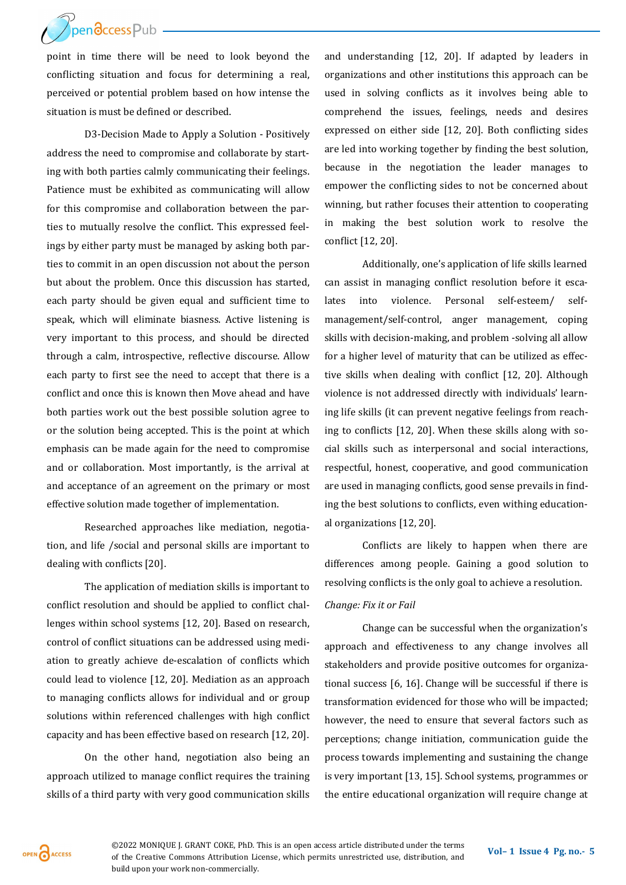**ThendccessPub** 

point in time there will be need to look beyond the conflicting situation and focus for determining a real, perceived or potential problem based on how intense the situation is must be defined or described.

D3-Decision Made to Apply a Solution - Positively address the need to compromise and collaborate by starting with both parties calmly communicating their feelings. Patience must be exhibited as communicating will allow for this compromise and collaboration between the parties to mutually resolve the conflict. This expressed feelings by either party must be managed by asking both parties to commit in an open discussion not about the person but about the problem. Once this discussion has started, each party should be given equal and sufficient time to speak, which will eliminate biasness. Active listening is very important to this process, and should be directed through a calm, introspective, reflective discourse. Allow each party to first see the need to accept that there is a conflict and once this is known then Move ahead and have both parties work out the best possible solution agree to or the solution being accepted. This is the point at which emphasis can be made again for the need to compromise and or collaboration. Most importantly, is the arrival at and acceptance of an agreement on the primary or most effective solution made together of implementation.

Researched approaches like mediation, negotiation, and life /social and personal skills are important to dealing with conflicts [20].

The application of mediation skills is important to conflict resolution and should be applied to conflict challenges within school systems [12, 20]. Based on research, control of conflict situations can be addressed using mediation to greatly achieve de-escalation of conflicts which could lead to violence [12, 20]. Mediation as an approach to managing conflicts allows for individual and or group solutions within referenced challenges with high conflict capacity and has been effective based on research [12, 20].

On the other hand, negotiation also being an approach utilized to manage conflict requires the training skills of a third party with very good communication skills and understanding [12, 20]. If adapted by leaders in organizations and other institutions this approach can be used in solving conflicts as it involves being able to comprehend the issues, feelings, needs and desires expressed on either side [12, 20]. Both conflicting sides are led into working together by finding the best solution, because in the negotiation the leader manages to empower the conflicting sides to not be concerned about winning, but rather focuses their attention to cooperating in making the best solution work to resolve the conflict [12, 20].

Additionally, one's application of life skills learned can assist in managing conflict resolution before it escalates into violence. Personal self-esteem/ selfmanagement/self-control, anger management, coping skills with decision-making, and problem -solving all allow for a higher level of maturity that can be utilized as effective skills when dealing with conflict [12, 20]. Although violence is not addressed directly with individuals' learning life skills (it can prevent negative feelings from reaching to conflicts [12, 20]. When these skills along with social skills such as interpersonal and social interactions, respectful, honest, cooperative, and good communication are used in managing conflicts, good sense prevails in finding the best solutions to conflicts, even withing educational organizations [12, 20].

Conflicts are likely to happen when there are differences among people. Gaining a good solution to resolving conflicts is the only goal to achieve a resolution. *Change: Fix it or Fail* 

Change can be successful when the organization's approach and effectiveness to any change involves all stakeholders and provide positive outcomes for organizational success [6, 16]. Change will be successful if there is transformation evidenced for those who will be impacted; however, the need to ensure that several factors such as perceptions; change initiation, communication guide the process towards implementing and sustaining the change is very important [13, 15]. School systems, programmes or the entire educational organization will require change at

OPEN CACCESS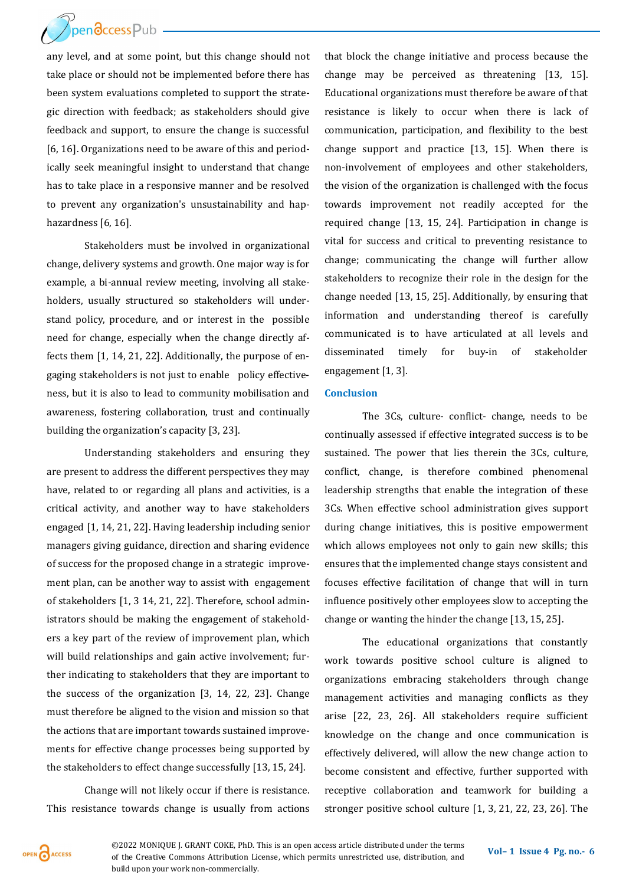

any level, and at some point, but this change should not take place or should not be implemented before there has been system evaluations completed to support the strategic direction with feedback; as stakeholders should give feedback and support, to ensure the change is successful [6, 16]. Organizations need to be aware of this and periodically seek meaningful insight to understand that change has to take place in a responsive manner and be resolved to prevent any organization's unsustainability and haphazardness [6, 16].

Stakeholders must be involved in organizational change, delivery systems and growth. One major way is for example, a bi-annual review meeting, involving all stakeholders, usually structured so stakeholders will understand policy, procedure, and or interest in the possible need for change, especially when the change directly affects them [1, 14, 21, 22]. Additionally, the purpose of engaging stakeholders is not just to enable policy effectiveness, but it is also to lead to community mobilisation and awareness, fostering collaboration, trust and continually building the organization's capacity [3, 23].

Understanding stakeholders and ensuring they are present to address the different perspectives they may have, related to or regarding all plans and activities, is a critical activity, and another way to have stakeholders engaged [1, 14, 21, 22]. Having leadership including senior managers giving guidance, direction and sharing evidence of success for the proposed change in a strategic improvement plan, can be another way to assist with engagement of stakeholders [1, 3 14, 21, 22]. Therefore, school administrators should be making the engagement of stakeholders a key part of the review of improvement plan, which will build relationships and gain active involvement; further indicating to stakeholders that they are important to the success of the organization [3, 14, 22, 23]. Change must therefore be aligned to the vision and mission so that the actions that are important towards sustained improvements for effective change processes being supported by the stakeholders to effect change successfully [13, 15, 24].

Change will not likely occur if there is resistance. This resistance towards change is usually from actions that block the change initiative and process because the change may be perceived as threatening [13, 15]. Educational organizations must therefore be aware of that resistance is likely to occur when there is lack of communication, participation, and flexibility to the best change support and practice [13, 15]. When there is non-involvement of employees and other stakeholders, the vision of the organization is challenged with the focus towards improvement not readily accepted for the required change [13, 15, 24]. Participation in change is vital for success and critical to preventing resistance to change; communicating the change will further allow stakeholders to recognize their role in the design for the change needed [13, 15, 25]. Additionally, by ensuring that information and understanding thereof is carefully communicated is to have articulated at all levels and disseminated timely for buy-in of stakeholder engagement [1, 3].

## **Conclusion**

The 3Cs, culture- conflict- change, needs to be continually assessed if effective integrated success is to be sustained. The power that lies therein the 3Cs, culture, conflict, change, is therefore combined phenomenal leadership strengths that enable the integration of these 3Cs. When effective school administration gives support during change initiatives, this is positive empowerment which allows employees not only to gain new skills; this ensures that the implemented change stays consistent and focuses effective facilitation of change that will in turn influence positively other employees slow to accepting the change or wanting the hinder the change [13, 15, 25].

The educational organizations that constantly work towards positive school culture is aligned to organizations embracing stakeholders through change management activities and managing conflicts as they arise [22, 23, 26]. All stakeholders require sufficient knowledge on the change and once communication is effectively delivered, will allow the new change action to become consistent and effective, further supported with receptive collaboration and teamwork for building a stronger positive school culture [1, 3, 21, 22, 23, 26]. The

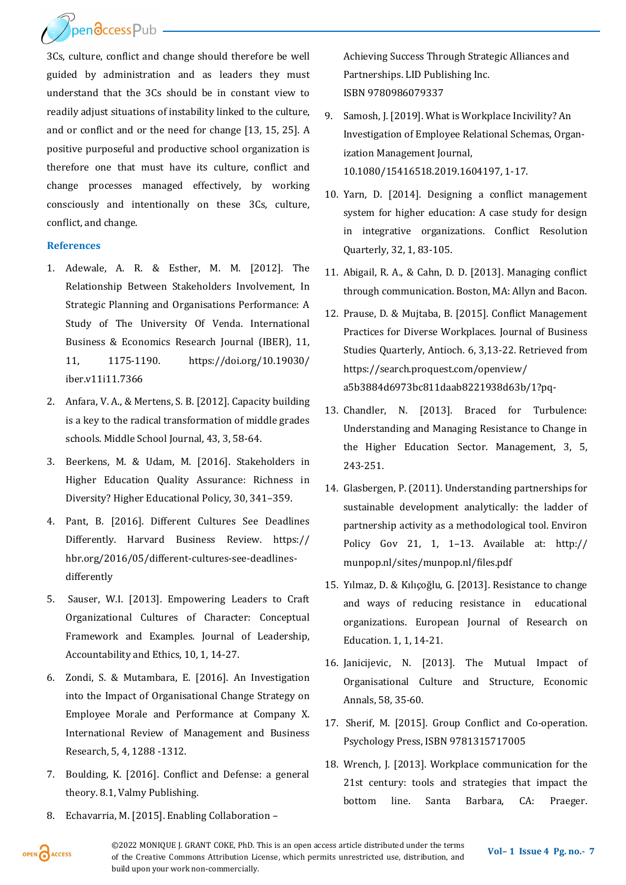Prendccess Pub

3Cs, culture, conflict and change should therefore be well guided by administration and as leaders they must understand that the 3Cs should be in constant view to readily adjust situations of instability linked to the culture, and or conflict and or the need for change [13, 15, 25]. A positive purposeful and productive school organization is therefore one that must have its culture, conflict and change processes managed effectively, by working consciously and intentionally on these 3Cs, culture, conflict, and change.

## **References**

- 1. Adewale, A. R. & Esther, M. M. [2012]. The Relationship Between Stakeholders Involvement, In Strategic Planning and Organisations Performance: A Study of The University Of Venda. International Business & Economics Research Journal (IBER), 11, 11, 1175-1190. https://doi.org/10.19030/ iber.v11i11.7366
- 2. Anfara, V. A., & Mertens, S. B. [2012]. Capacity building is a key to the radical transformation of middle grades schools. Middle School Journal, 43, 3, 58-64.
- 3. Beerkens, M. & Udam, M. [2016]. Stakeholders in Higher Education Quality Assurance: Richness in Diversity? Higher Educational Policy, 30, 341–359.
- 4. Pant, B. [2016]. Different Cultures See Deadlines Differently. Harvard Business Review. https:// hbr.org/2016/05/different-cultures-see-deadlinesdifferently
- 5. Sauser, W.I. [2013]. Empowering Leaders to Craft Organizational Cultures of Character: Conceptual Framework and Examples. Journal of Leadership, Accountability and Ethics, 10, 1, 14-27.
- 6. Zondi, S. & Mutambara, E. [2016]. An Investigation into the Impact of Organisational Change Strategy on Employee Morale and Performance at Company X. International Review of Management and Business Research, 5, 4, 1288 -1312.
- 7. Boulding, K. [2016]. Conflict and Defense: a general theory. 8.1, Valmy Publishing.
- 8. Echavarria, M. [2015]. Enabling Collaboration –

Achieving Success Through Strategic Alliances and Partnerships. LID Publishing Inc. ISBN 9780986079337

- 9. Samosh, J. [2019]. What is Workplace Incivility? An Investigation of Employee Relational Schemas, Organization Management Journal, 10.1080/15416518.2019.1604197, 1-17.
- 10. Yarn, D. [2014]. Designing a conflict management system for higher education: A case study for design in integrative organizations. Conflict Resolution Quarterly, 32, 1, 83-105.
- 11. Abigail, R. A., & Cahn, D. D. [2013]. Managing conflict through communication. Boston, MA: Allyn and Bacon.
- 12. Prause, D. & Mujtaba, B. [2015]. Conflict Management Practices for Diverse Workplaces. Journal of Business Studies Quarterly, Antioch. 6, 3,13-22. Retrieved from https://search.proquest.com/openview/ a5b3884d6973bc811daab8221938d63b/1?pq-
- 13. Chandler, N. [2013]. Braced for Turbulence: Understanding and Managing Resistance to Change in the Higher Education Sector. Management, 3, 5, 243-251.
- 14. Glasbergen, P. (2011). Understanding partnerships for sustainable development analytically: the ladder of partnership activity as a methodological tool. Environ Policy Gov 21, 1, 1–13. Available at: http:// munpop.nl/sites/munpop.nl/files.pdf
- 15. Yılmaz, D. & Kılıçoğlu, G. [2013]. Resistance to change and ways of reducing resistance in educational organizations. European Journal of Research on Education. 1, 1, 14-21.
- 16. Janicijevic, N. [2013]. The Mutual Impact of Organisational Culture and Structure, Economic Annals, 58, 35-60.
- 17. Sherif, M. [2015]. Group Conflict and Co-operation. Psychology Press, ISBN 9781315717005
- 18. Wrench, J. [2013]. Workplace communication for the 21st century: tools and strategies that impact the bottom line. Santa Barbara, CA: Praeger.



©2022 MONIQUE J. GRANT COKE, PhD. This is an open access article distributed under the terms of the Creative Commons Attribution License, which permits unrestricted use, distribution, and build upon your work non-commercially.